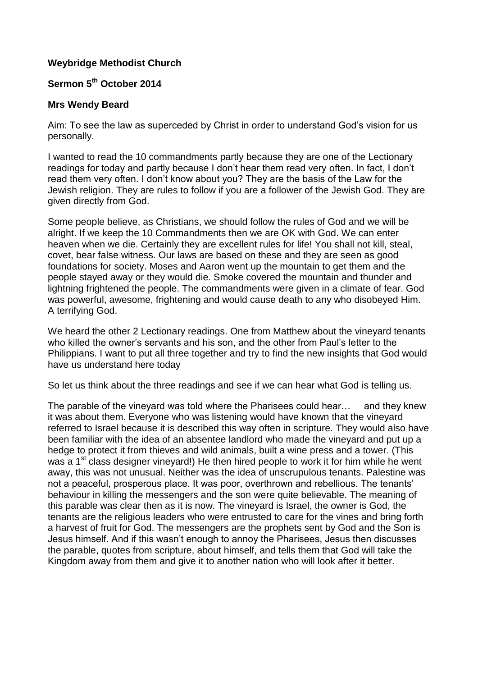## **Weybridge Methodist Church**

## **Sermon 5 th October 2014**

## **Mrs Wendy Beard**

Aim: To see the law as superceded by Christ in order to understand God's vision for us personally.

I wanted to read the 10 commandments partly because they are one of the Lectionary readings for today and partly because I don't hear them read very often. In fact, I don't read them very often. I don't know about you? They are the basis of the Law for the Jewish religion. They are rules to follow if you are a follower of the Jewish God. They are given directly from God.

Some people believe, as Christians, we should follow the rules of God and we will be alright. If we keep the 10 Commandments then we are OK with God. We can enter heaven when we die. Certainly they are excellent rules for life! You shall not kill, steal, covet, bear false witness. Our laws are based on these and they are seen as good foundations for society. Moses and Aaron went up the mountain to get them and the people stayed away or they would die. Smoke covered the mountain and thunder and lightning frightened the people. The commandments were given in a climate of fear. God was powerful, awesome, frightening and would cause death to any who disobeyed Him. A terrifying God.

We heard the other 2 Lectionary readings. One from Matthew about the vineyard tenants who killed the owner's servants and his son, and the other from Paul's letter to the Philippians. I want to put all three together and try to find the new insights that God would have us understand here today

So let us think about the three readings and see if we can hear what God is telling us.

The parable of the vineyard was told where the Pharisees could hear… and they knew it was about them. Everyone who was listening would have known that the vineyard referred to Israel because it is described this way often in scripture. They would also have been familiar with the idea of an absentee landlord who made the vineyard and put up a hedge to protect it from thieves and wild animals, built a wine press and a tower. (This was a 1<sup>st</sup> class designer vineyard!) He then hired people to work it for him while he went away, this was not unusual. Neither was the idea of unscrupulous tenants. Palestine was not a peaceful, prosperous place. It was poor, overthrown and rebellious. The tenants' behaviour in killing the messengers and the son were quite believable. The meaning of this parable was clear then as it is now. The vineyard is Israel, the owner is God, the tenants are the religious leaders who were entrusted to care for the vines and bring forth a harvest of fruit for God. The messengers are the prophets sent by God and the Son is Jesus himself. And if this wasn't enough to annoy the Pharisees, Jesus then discusses the parable, quotes from scripture, about himself, and tells them that God will take the Kingdom away from them and give it to another nation who will look after it better.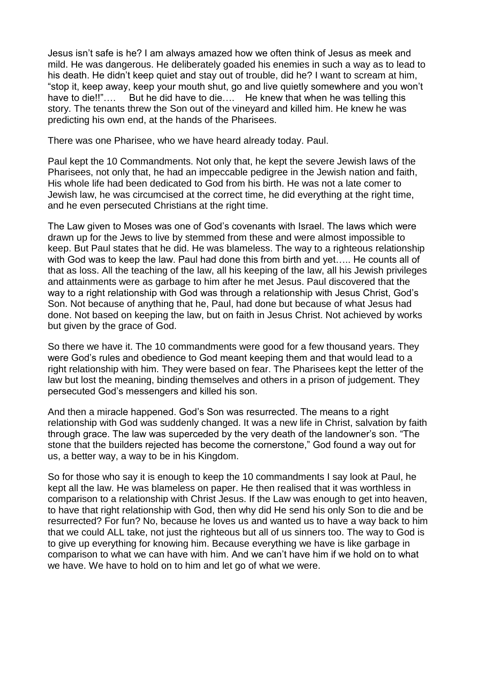Jesus isn't safe is he? I am always amazed how we often think of Jesus as meek and mild. He was dangerous. He deliberately goaded his enemies in such a way as to lead to his death. He didn't keep quiet and stay out of trouble, did he? I want to scream at him, "stop it, keep away, keep your mouth shut, go and live quietly somewhere and you won't have to die!!"…. But he did have to die…. He knew that when he was telling this story. The tenants threw the Son out of the vineyard and killed him. He knew he was predicting his own end, at the hands of the Pharisees.

There was one Pharisee, who we have heard already today. Paul.

Paul kept the 10 Commandments. Not only that, he kept the severe Jewish laws of the Pharisees, not only that, he had an impeccable pedigree in the Jewish nation and faith, His whole life had been dedicated to God from his birth. He was not a late comer to Jewish law, he was circumcised at the correct time, he did everything at the right time, and he even persecuted Christians at the right time.

The Law given to Moses was one of God's covenants with Israel. The laws which were drawn up for the Jews to live by stemmed from these and were almost impossible to keep. But Paul states that he did. He was blameless. The way to a righteous relationship with God was to keep the law. Paul had done this from birth and yet….. He counts all of that as loss. All the teaching of the law, all his keeping of the law, all his Jewish privileges and attainments were as garbage to him after he met Jesus. Paul discovered that the way to a right relationship with God was through a relationship with Jesus Christ, God's Son. Not because of anything that he, Paul, had done but because of what Jesus had done. Not based on keeping the law, but on faith in Jesus Christ. Not achieved by works but given by the grace of God.

So there we have it. The 10 commandments were good for a few thousand years. They were God's rules and obedience to God meant keeping them and that would lead to a right relationship with him. They were based on fear. The Pharisees kept the letter of the law but lost the meaning, binding themselves and others in a prison of judgement. They persecuted God's messengers and killed his son.

And then a miracle happened. God's Son was resurrected. The means to a right relationship with God was suddenly changed. It was a new life in Christ, salvation by faith through grace. The law was superceded by the very death of the landowner's son. "The stone that the builders rejected has become the cornerstone," God found a way out for us, a better way, a way to be in his Kingdom.

So for those who say it is enough to keep the 10 commandments I say look at Paul, he kept all the law. He was blameless on paper. He then realised that it was worthless in comparison to a relationship with Christ Jesus. If the Law was enough to get into heaven, to have that right relationship with God, then why did He send his only Son to die and be resurrected? For fun? No, because he loves us and wanted us to have a way back to him that we could ALL take, not just the righteous but all of us sinners too. The way to God is to give up everything for knowing him. Because everything we have is like garbage in comparison to what we can have with him. And we can't have him if we hold on to what we have. We have to hold on to him and let go of what we were.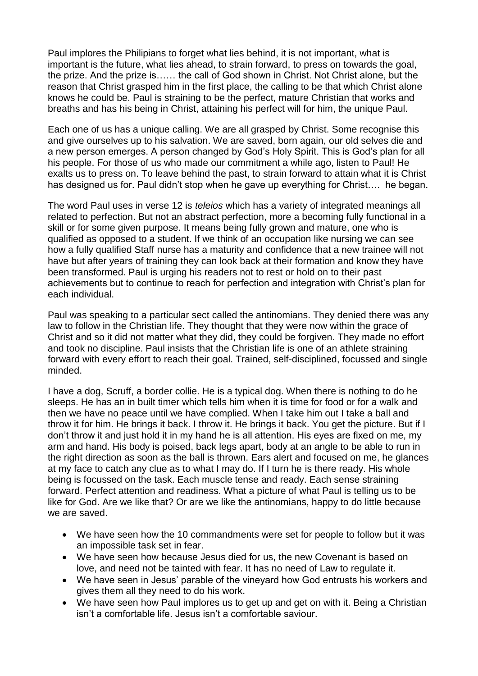Paul implores the Philipians to forget what lies behind, it is not important, what is important is the future, what lies ahead, to strain forward, to press on towards the goal, the prize. And the prize is…… the call of God shown in Christ. Not Christ alone, but the reason that Christ grasped him in the first place, the calling to be that which Christ alone knows he could be. Paul is straining to be the perfect, mature Christian that works and breaths and has his being in Christ, attaining his perfect will for him, the unique Paul.

Each one of us has a unique calling. We are all grasped by Christ. Some recognise this and give ourselves up to his salvation. We are saved, born again, our old selves die and a new person emerges. A person changed by God's Holy Spirit. This is God's plan for all his people. For those of us who made our commitment a while ago, listen to Paul! He exalts us to press on. To leave behind the past, to strain forward to attain what it is Christ has designed us for. Paul didn't stop when he gave up everything for Christ…. he began.

The word Paul uses in verse 12 is *teleios* which has a variety of integrated meanings all related to perfection. But not an abstract perfection, more a becoming fully functional in a skill or for some given purpose. It means being fully grown and mature, one who is qualified as opposed to a student. If we think of an occupation like nursing we can see how a fully qualified Staff nurse has a maturity and confidence that a new trainee will not have but after years of training they can look back at their formation and know they have been transformed. Paul is urging his readers not to rest or hold on to their past achievements but to continue to reach for perfection and integration with Christ's plan for each individual.

Paul was speaking to a particular sect called the antinomians. They denied there was any law to follow in the Christian life. They thought that they were now within the grace of Christ and so it did not matter what they did, they could be forgiven. They made no effort and took no discipline. Paul insists that the Christian life is one of an athlete straining forward with every effort to reach their goal. Trained, self-disciplined, focussed and single minded.

I have a dog, Scruff, a border collie. He is a typical dog. When there is nothing to do he sleeps. He has an in built timer which tells him when it is time for food or for a walk and then we have no peace until we have complied. When I take him out I take a ball and throw it for him. He brings it back. I throw it. He brings it back. You get the picture. But if I don't throw it and just hold it in my hand he is all attention. His eyes are fixed on me, my arm and hand. His body is poised, back legs apart, body at an angle to be able to run in the right direction as soon as the ball is thrown. Ears alert and focused on me, he glances at my face to catch any clue as to what I may do. If I turn he is there ready. His whole being is focussed on the task. Each muscle tense and ready. Each sense straining forward. Perfect attention and readiness. What a picture of what Paul is telling us to be like for God. Are we like that? Or are we like the antinomians, happy to do little because we are saved.

- We have seen how the 10 commandments were set for people to follow but it was an impossible task set in fear.
- We have seen how because Jesus died for us, the new Covenant is based on love, and need not be tainted with fear. It has no need of Law to regulate it.
- We have seen in Jesus' parable of the vineyard how God entrusts his workers and gives them all they need to do his work.
- We have seen how Paul implores us to get up and get on with it. Being a Christian isn't a comfortable life. Jesus isn't a comfortable saviour.